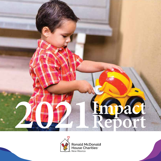



**Ronald McDonald<br>House Charities<br>New Mexico**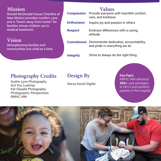#### **Mission**

Ronald McDonald House Charities of New Mexico provides comfort, care and a "home-away-from-home" for families whose children are in medical treatment.

# **Vision**

Strengthening families and communities one child at a time.

#### **Values** Provide everyone with heartfelt comfort, care, and kindness Inspire joy and passion in others Embrace differences with a caring attitude **Commitment** Demonstrate dedication, accountability, and pride in everything we do Strive to always do the right thing **Compassion Enthusiasm Respect Integrity**

## **Photography Credits**

Audrie Lynn Photography Got You Looking! Kat Oswald Photography Photographic Perspectives RMHC-NM

# **Design By**

Siarza Social Digital

**Fun Fact:** RMHC-NM delivered **380+** care packages to NICU and pediatric parents in the hospital.

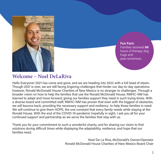

**Fun Fact:** Families received **96**  hours of therapy dog hugs and paw-someness.

### **Welcome – Noel DeLaRiva**

Hello Everyone! 2021 has come and gone, and we are heading into 2022 with a full head of steam. Though 2021 is over, we are still facing lingering challenges that hinder our day-to-day operations; however, Ronald McDonald House Charities of New Mexico is no stranger to challenges. Through a broader vision on how to help the families that use the Ronald McDonald House, RMHC-NM has learned to adapt and move forward, giving our families support they need in such trying times. With a diverse board and committed staff, RMHC-NM has proven that even with the biggest of obstacles, we will bounce back, providing the necessary support and resiliency to help those families in need. We will continue to give them HOPE, the one constant that every family needs while staying at the Ronald House. With the end of the COVID-19 pandemic hopefully in sight, I ask you all for your continued support and partnership as we serve the families that stay with us.

Thank you for your commitment to such a wonderful charity, and for sharing our vision to find solutions during difficult times while displaying the adaptability, resilience, and hope that our families need.

> Noel De La Riva, McDonald's Owner/Operator Ronald McDonald House Charities of New Mexico Board Chair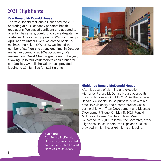# **2021 Highlights**

#### **Yale Ronald McDonald House**

The Yale Ronald McDonald House started 2021 operating at 40% capacity per state health regulations. We stayed confident and adapted to offer families a safe, comforting space despite the obstacles. Our capacity grew to 60% occupancy in April, and volunteers were welcomed back. To minimize the risk of COVID-19, we limited the number of staff on-site at any one time. In October, we began operating at 90% occupancy. We resumed our Guest Chef program during the year, allowing up to four volunteers to cook dinner for our families. Overall, the Yale House provided lodging to 204 families for 3,268 nights.





House programs provided comfort to families from **26**  New Mexico counties.

#### **Highlands Ronald McDonald House**

After five years of planning and execution, Highlands Ronald McDonald House opened its doors to families on April 15, 2021. As the first-ever Ronald McDonald House purpose-built within a hotel, this visionary and creative project was a partnership with Titan Development and Maestas Development Group. On May 11, 2021, Ronald McDonald House Charities of New Mexico welcomed its 35,000th family, the Secateros, at the Highlands House. In total, the Highlands House provided 144 families 2,793 nights of lodging.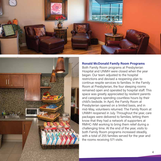



#### **Ronald McDonald Family Room Programs**

Both Family Room programs at Presbyterian Hospital and UNMH were closed when the year began. Our team adjusted to the hospital restrictions and devised a reopening plan to continue respite services to families. In the Family Room at Presbyterian, the four sleeping rooms remained open and operated by hospital staff. This space was greatly appreciated by resilient parents and caregivers spending countless hours by their child's bedside. In April, the Family Room at Presbyterian opened on a limited basis, and in mid-May, volunteers returned. The Family Room at UNMH reopened in July. Throughout the year, care packages were delivered to families, letting them know that they had a network of supporters at RMHC-NM working to bring them relief during a challenging time. At the end of the year, visits to both Family Room programs increased steadily, with a total of 255 families served for the year and the rooms receiving 571 visits.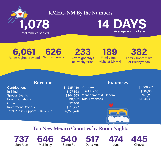

#### **RMHC-NM By the Numbers**

Average length of stay **14 DAYS**

#### Room nights provided **6,061** Nightly dinners **626**

Overnight stays at Presbyterian **233**

Family Room visits at UNMH **189**

Family Room visits at Presbyterian **382**

## **Revenue**

Contributions \$1,535,480  $In-Kind$ Special Events \$204,363 Room Donations **\$91,637** Other  $$2,406$ Investment Revenue **\$315,227** Total Public Support & Revenue \$2,276,476

Program  $$1,560,961$ Fundraising \$307,055 Management & General \$73,293 Total Expenses \$1,941,309

#### **Expenses**



# **Top New Mexico Counties by Room Nights**







Dona Ana **517**



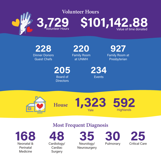

Dinner Donors **Guest Chefs 228**

Family Room at UNMH **220**

Family Room at Presbyterian **927**

Board of **Directors 205**

Events **234**



**House**





Neonatal & Perinatal Medicine **168**

## **Most Frequent Diagnosis**



Neurology/ **Neurosurgery 35**



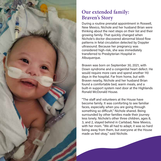

# **Our extended family: Braven's Story**

During a routine prenatal appointment in Roswell, New Mexico, Nichole and her husband Brian were thinking about the next steps on their list and their growing family. That quickly changed when Nichole's doctor discovered abnormal blood flow patterns in fetal circulation detected by Doppler ultrasound. Because her pregnancy was considered high-risk, she was immediately transferred to Presbyterian Hospital in Albuquerque.

Braven was born on September 30, 2021, with Down syndrome and a congenital heart defect. He would require more care and spend another 110 days in the hospital. Far from home, but with Braven nearby, Nichole and her husband Brian found a comfortable bed, warm meals, and a built-in support system next door at the Highlands Ronald McDonald House.

"The staff and volunteers at the House have become family. It was comforting to see familiar faces, especially when you are going through something so difficult," Nichole shared. Being surrounded by other families made their journey less lonely. Nichole's other three children, ages 8, 3, and 2, stayed behind in Carlsbad, New Mexico, with her mom. "We all had to adapt, it was so hard being away from them, but everyone at the House made us feel okay," said Nichole.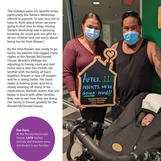The holidays were her favorite times, particularly the Santa's Workshop offered to parents. "It was nice not to have to think about when we were going to find time to shop. Having Santa's Workshop was a blessing knowing we could pick out gifts for all our children and not worry about being too far from Braven."

By the time Braven was ready to go home, his parents had logged many nights at the Ronald McDonald House. Braven's siblings are adjusting to having mom and dad home and a new five-month-old brother with the family all back together. Braven is now off oxygen, and he is doing better. His heart repair is looking great, and he is slowly weaning off many of his medications. Nichole shares that she keeps in touch with other families they met to see how they are doing. Her family is forever grateful for the Ronald McDonald House.

**After** 110

NIGHTS. WE'RE

GOING HOME!

#### **Fun Fact:**

At the Ronald McDonald House, 1,078 stuffed animals and blankets were distributed to our families.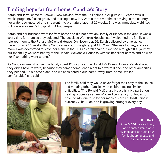# **Finding hope far from home: Candice's Story**

Zarah and Jerrel came to Roswell, New Mexico, from the Philippines in August 2021. Zarah was 11 weeks pregnant, feeling great, and starting a new job. Within three months of arriving in the country, her water bag ruptured and she went into premature labor at 25 weeks. She was immediately airlifted to Lovelace Women's Hospital in Albuquerque.

Zarah and her husband were far from home and did not have any family or friends in the area. It was a scary time for them as they adjusted. The Lovelace Women's Hospital staff welcomed the family and referred them to the Ronald McDonald House. On November, 26, Zarah delivered by emergency C-section at 25.6 weeks. Baby Candice was born weighing just 1 lb. 11 oz. "She was too tiny, and as a mom, I was devastated to leave her alone in the NICU," Zarah shared, "We had a rough NICU journey, but thankfully we were nearby at the Ronald McDonald House to witness her silent battles and be with her if something went wrong."

As Candice grew stronger, the family spent 123 nights at the Ronald McDonald House. Zarah shared they didn't have to worry because they came "home" each night to a warm dinner and other amenities they needed. "It is a safe place, and we considered it our 'home-away-from-home;' we felt comfortable," she said.

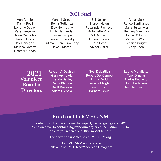#### **2021 Sta**

Ann Armijo Tasha Beall Lorraine Begay Kara Bergevin Dawn Cannoles Naomi Davis Joy Finnegan Melissa Gomez Heather Gooch

Manuel Griego Reina Gutierrez Eloy Hermosillo Emily Hernandez Haylee Knippel Louise Knorovsky Julieta Luranc-Sweeney Jewell Mortis

Bill Nelson Sharon Nolen Rosalinda Pacheco Antoniette Pino MJ Redfield Seferina Rickert Terri Ross Abigail Sailer

Albert Saiz Renee Santillanes Maria Sultemeier Bethany Viekman Paula Williams Michaela Wood Jessica Wright Zoey Zhen

**2021 Volunteer Board of Directors**

Revathi A-Davison Gary Archuleta Brenda Begley Diana Blanton Brett Bronson Adam Ciepela

Noel DeLaRiva Robert Del Campo Linda Dodd Jessica Fleigle Tim Johnsen Barbara Lewis

Laurie Monfiletto Tony Ornelas Carlos Pacheco John Pederson Angela Sanchez

#### **Reach out to RMHC-NM**

In order to limit our environmental impact, we will go digital in 2023. Send an email to **contactus@rmhc-nm.org** or call **505-842-8960** to ensure you receive our 2022 Impact Report.

For news and updates, visit RMHC-NM.org

Like RMHC-NM on Facebook Follow us at RMHCNewMexico on Instagram